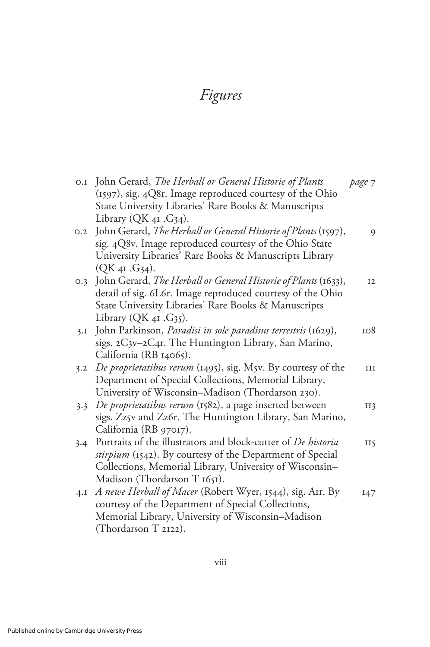## Figures

|     | 0.1 John Gerard, The Herball or General Historie of Plants<br>(1597), sig. 4Q8r. Image reproduced courtesy of the Ohio<br>State University Libraries' Rare Books & Manuscripts | page 7 |
|-----|--------------------------------------------------------------------------------------------------------------------------------------------------------------------------------|--------|
|     | Library $(QK41, G34)$ .                                                                                                                                                        |        |
| 0.2 | John Gerard, The Herball or General Historie of Plants (1597),                                                                                                                 | 9      |
|     | sig. 4Q8v. Image reproduced courtesy of the Ohio State                                                                                                                         |        |
|     | University Libraries' Rare Books & Manuscripts Library                                                                                                                         |        |
|     | (QK <sub>4I</sub> .G <sub>34</sub> ).                                                                                                                                          |        |
| O.3 | John Gerard, The Herball or General Historie of Plants (1633),                                                                                                                 | I2     |
|     | detail of sig. 6L6r. Image reproduced courtesy of the Ohio                                                                                                                     |        |
|     | State University Libraries' Rare Books & Manuscripts                                                                                                                           |        |
|     | Library ( $QK_{4I}$ . G35).                                                                                                                                                    |        |
| 3.I | John Parkinson, Paradisi in sole paradisus terrestris (1629),                                                                                                                  | 108    |
|     | sigs. 2C3v-2C4r. The Huntington Library, San Marino,                                                                                                                           |        |
|     | California (RB 14065).                                                                                                                                                         |        |
| 3.2 | De proprietatibus rerum (1495), sig. M5v. By courtesy of the                                                                                                                   | III    |
|     | Department of Special Collections, Memorial Library,                                                                                                                           |        |
|     | University of Wisconsin-Madison (Thordarson 230).                                                                                                                              |        |
| 3.3 | De proprietatibus rerum (1582), a page inserted between                                                                                                                        | II3    |
|     | sigs. Zz5v and Zz6r. The Huntington Library, San Marino,                                                                                                                       |        |
|     | California (RB 97017).                                                                                                                                                         |        |
| 3.4 | Portraits of the illustrators and block-cutter of De historia                                                                                                                  | II5    |
|     | stirpium (1542). By courtesy of the Department of Special                                                                                                                      |        |
|     | Collections, Memorial Library, University of Wisconsin-                                                                                                                        |        |
|     | Madison (Thordarson T 1651).                                                                                                                                                   |        |
| 4.1 | A newe Herball of Macer (Robert Wyer, 1544), sig. AIr. By                                                                                                                      | 147    |
|     | courtesy of the Department of Special Collections,                                                                                                                             |        |
|     | Memorial Library, University of Wisconsin-Madison                                                                                                                              |        |
|     | (Thordarson T 2122).                                                                                                                                                           |        |
|     |                                                                                                                                                                                |        |